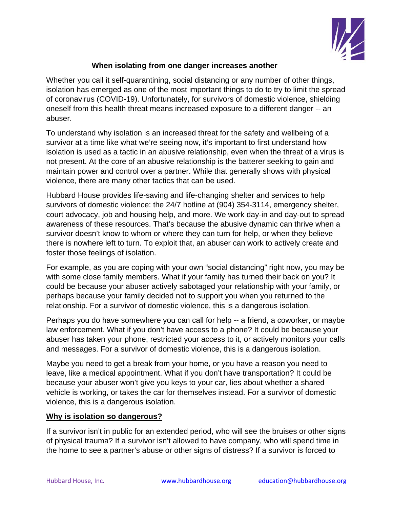

## **When isolating from one danger increases another**

Whether you call it self-quarantining, social distancing or any number of other things, isolation has emerged as one of the most important things to do to try to limit the spread of coronavirus (COVID-19). Unfortunately, for survivors of domestic violence, shielding oneself from this health threat means increased exposure to a different danger -- an abuser.

To understand why isolation is an increased threat for the safety and wellbeing of a survivor at a time like what we're seeing now, it's important to first understand how isolation is used as a tactic in an abusive relationship, even when the threat of a virus is not present. At the core of an abusive relationship is the batterer seeking to gain and maintain power and control over a partner. While that generally shows with physical violence, there are many other tactics that can be used.

Hubbard House provides life-saving and life-changing shelter and services to help survivors of domestic violence: the 24/7 hotline at (904) 354-3114, emergency shelter, court advocacy, job and housing help, and more. We work day-in and day-out to spread awareness of these resources. That's because the abusive dynamic can thrive when a survivor doesn't know to whom or where they can turn for help, or when they believe there is nowhere left to turn. To exploit that, an abuser can work to actively create and foster those feelings of isolation.

For example, as you are coping with your own "social distancing" right now, you may be with some close family members. What if your family has turned their back on you? It could be because your abuser actively sabotaged your relationship with your family, or perhaps because your family decided not to support you when you returned to the relationship. For a survivor of domestic violence, this is a dangerous isolation.

Perhaps you do have somewhere you can call for help -- a friend, a coworker, or maybe law enforcement. What if you don't have access to a phone? It could be because your abuser has taken your phone, restricted your access to it, or actively monitors your calls and messages. For a survivor of domestic violence, this is a dangerous isolation.

Maybe you need to get a break from your home, or you have a reason you need to leave, like a medical appointment. What if you don't have transportation? It could be because your abuser won't give you keys to your car, lies about whether a shared vehicle is working, or takes the car for themselves instead. For a survivor of domestic violence, this is a dangerous isolation.

## **Why is isolation so dangerous?**

If a survivor isn't in public for an extended period, who will see the bruises or other signs of physical trauma? If a survivor isn't allowed to have company, who will spend time in the home to see a partner's abuse or other signs of distress? If a survivor is forced to